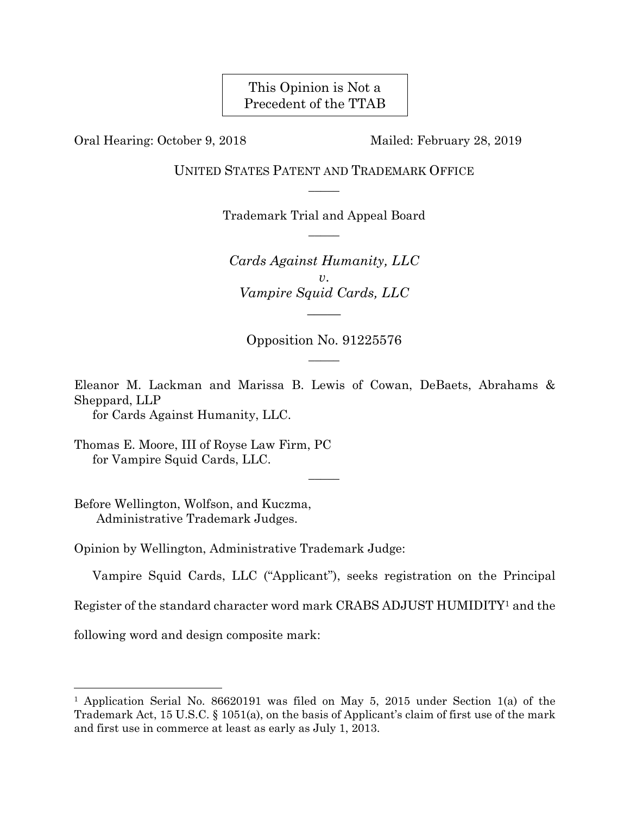# This Opinion is Not a Precedent of the TTAB

Oral Hearing: October 9, 2018 Mailed: February 28, 2019

UNITED STATES PATENT AND TRADEMARK OFFICE  $\overline{\phantom{a}}$ 

> Trademark Trial and Appeal Board  $\overline{\phantom{a}}$

*Cards Against Humanity, LLC v*. *Vampire Squid Cards, LLC \_\_\_\_\_* 

Opposition No. 91225576  $\overline{\phantom{a}}$ 

Eleanor M. Lackman and Marissa B. Lewis of Cowan, DeBaets, Abrahams & Sheppard, LLP

for Cards Against Humanity, LLC.

Thomas E. Moore, III of Royse Law Firm, PC for Vampire Squid Cards, LLC.

Before Wellington, Wolfson, and Kuczma, Administrative Trademark Judges.

Opinion by Wellington, Administrative Trademark Judge:

Vampire Squid Cards, LLC ("Applicant"), seeks registration on the Principal

 $\overline{\phantom{a}}$ 

Register of the standard character word mark CRABS ADJUST HUMIDITY1 and the

following word and design composite mark:

<sup>1</sup> Application Serial No. 86620191 was filed on May 5, 2015 under Section 1(a) of the Trademark Act, 15 U.S.C. § 1051(a), on the basis of Applicant's claim of first use of the mark and first use in commerce at least as early as July 1, 2013.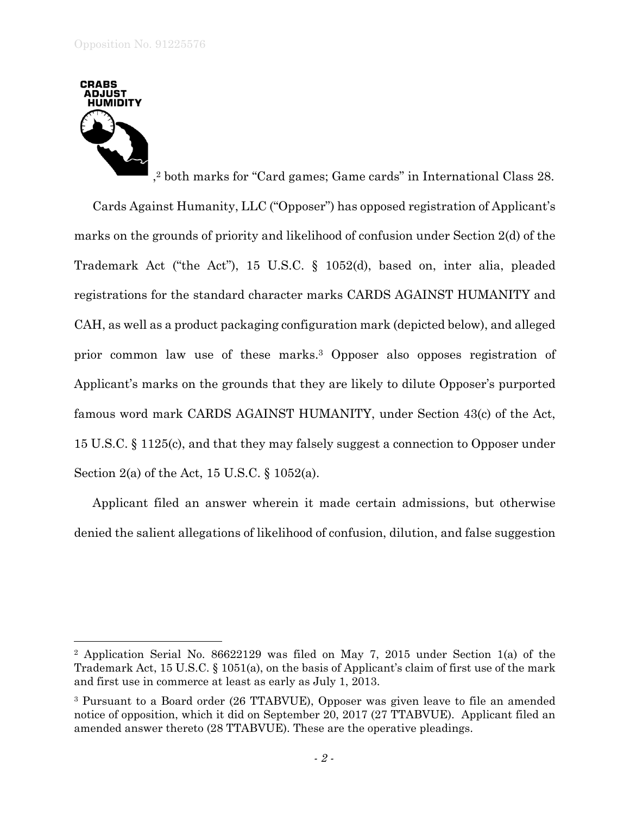

 $\overline{a}$ 

Cards Against Humanity, LLC ("Opposer") has opposed registration of Applicant's marks on the grounds of priority and likelihood of confusion under Section 2(d) of the Trademark Act ("the Act"), 15 U.S.C. § 1052(d), based on, inter alia, pleaded registrations for the standard character marks CARDS AGAINST HUMANITY and CAH, as well as a product packaging configuration mark (depicted below), and alleged

famous word mark CARDS AGAINST HUMANITY, under Section 43(c) of the Act, 15 U.S.C. § 1125(c), and that they may falsely suggest a connection to Opposer under Section 2(a) of the Act, 15 U.S.C. § 1052(a).

Applicant filed an answer wherein it made certain admissions, but otherwise denied the salient allegations of likelihood of confusion, dilution, and false suggestion

prior common law use of these marks.3 Opposer also opposes registration of

Applicant's marks on the grounds that they are likely to dilute Opposer's purported

<sup>2</sup> Application Serial No. 86622129 was filed on May 7, 2015 under Section 1(a) of the Trademark Act, 15 U.S.C. § 1051(a), on the basis of Applicant's claim of first use of the mark and first use in commerce at least as early as July 1, 2013.

<sup>3</sup> Pursuant to a Board order (26 TTABVUE), Opposer was given leave to file an amended notice of opposition, which it did on September 20, 2017 (27 TTABVUE). Applicant filed an amended answer thereto (28 TTABVUE). These are the operative pleadings.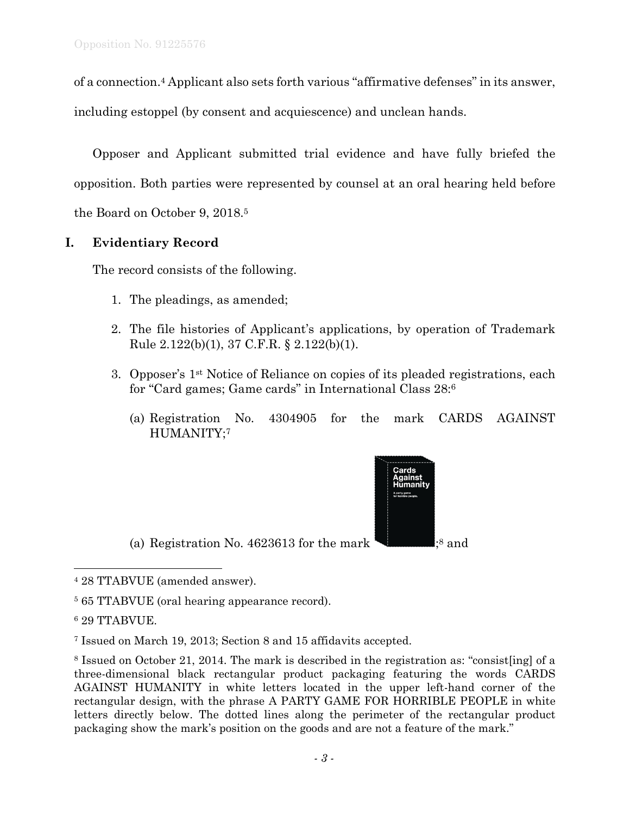of a connection.4 Applicant also sets forth various "affirmative defenses" in its answer,

including estoppel (by consent and acquiescence) and unclean hands.

Opposer and Applicant submitted trial evidence and have fully briefed the opposition. Both parties were represented by counsel at an oral hearing held before the Board on October 9, 2018.5

# **I. Evidentiary Record**

The record consists of the following.

- 1. The pleadings, as amended;
- 2. The file histories of Applicant's applications, by operation of Trademark Rule 2.122(b)(1), 37 C.F.R. § 2.122(b)(1).
- 3. Opposer's 1st Notice of Reliance on copies of its pleaded registrations, each for "Card games; Game cards" in International Class 28:6
	- (a) Registration No. 4304905 for the mark CARDS AGAINST HUMANITY;7

(a) Registration No. 4623613 for the mark  $\blacksquare$ ;<sup>8</sup> and



<sup>4 28</sup> TTABVUE (amended answer).

<sup>5 65</sup> TTABVUE (oral hearing appearance record).

<sup>6 29</sup> TTABVUE.

<sup>7</sup> Issued on March 19, 2013; Section 8 and 15 affidavits accepted.

<sup>8</sup> Issued on October 21, 2014. The mark is described in the registration as: "consist[ing] of a three-dimensional black rectangular product packaging featuring the words CARDS AGAINST HUMANITY in white letters located in the upper left-hand corner of the rectangular design, with the phrase A PARTY GAME FOR HORRIBLE PEOPLE in white letters directly below. The dotted lines along the perimeter of the rectangular product packaging show the mark's position on the goods and are not a feature of the mark."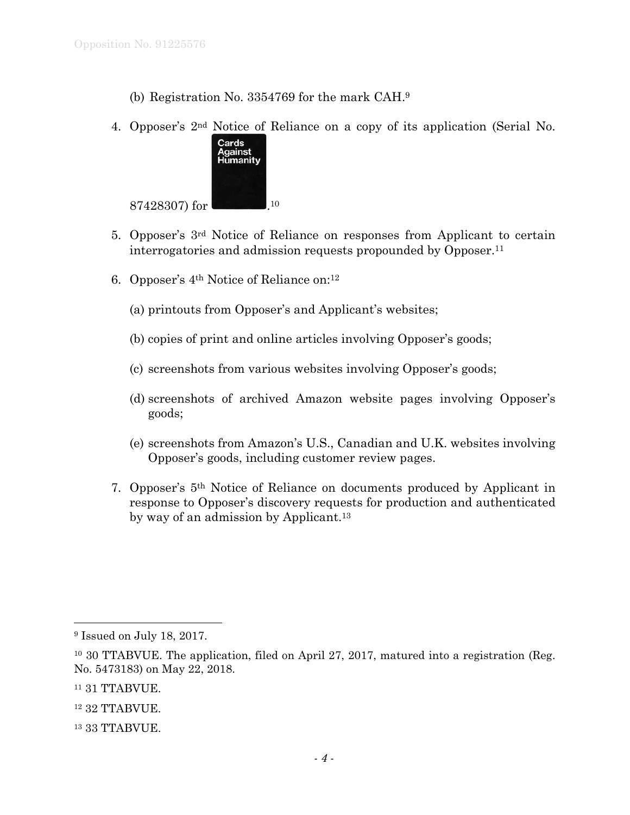- (b) Registration No. 3354769 for the mark CAH.9
- 4. Opposer's 2nd Notice of Reliance on a copy of its application (Serial No.



- 5. Opposer's 3rd Notice of Reliance on responses from Applicant to certain interrogatories and admission requests propounded by Opposer.11
- 6. Opposer's 4th Notice of Reliance on:12
	- (a) printouts from Opposer's and Applicant's websites;
	- (b) copies of print and online articles involving Opposer's goods;
	- (c) screenshots from various websites involving Opposer's goods;
	- (d) screenshots of archived Amazon website pages involving Opposer's goods;
	- (e) screenshots from Amazon's U.S., Canadian and U.K. websites involving Opposer's goods, including customer review pages.
- 7. Opposer's 5th Notice of Reliance on documents produced by Applicant in response to Opposer's discovery requests for production and authenticated by way of an admission by Applicant.<sup>13</sup>

<sup>9</sup> Issued on July 18, 2017.

<sup>10 30</sup> TTABVUE. The application, filed on April 27, 2017, matured into a registration (Reg. No. 5473183) on May 22, 2018.

<sup>11 31</sup> TTABVUE.

<sup>12 32</sup> TTABVUE.

<sup>13 33</sup> TTABVUE.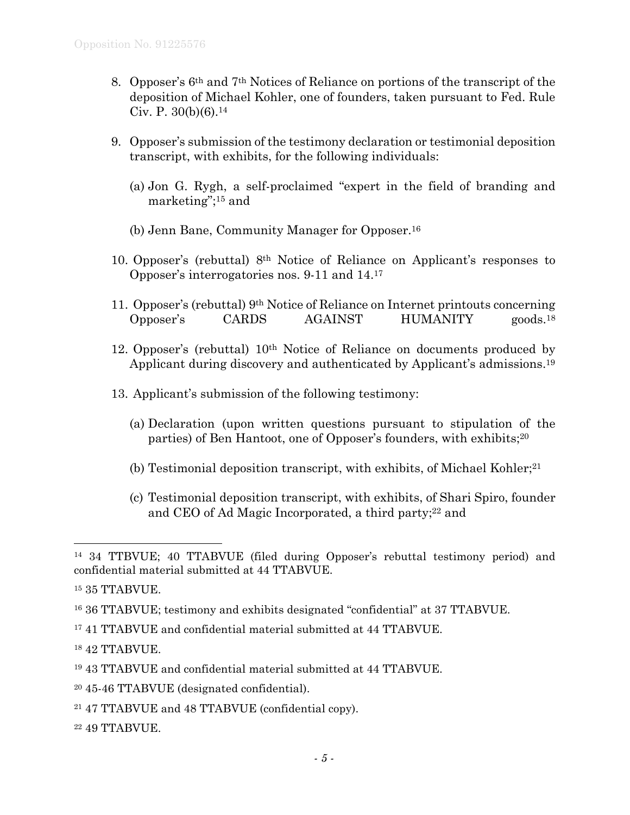- 8. Opposer's 6th and 7th Notices of Reliance on portions of the transcript of the deposition of Michael Kohler, one of founders, taken pursuant to Fed. Rule Civ. P.  $30(b)(6)$ .<sup>14</sup>
- 9. Opposer's submission of the testimony declaration or testimonial deposition transcript, with exhibits, for the following individuals:
	- (a) Jon G. Rygh, a self-proclaimed "expert in the field of branding and marketing";15 and
	- (b) Jenn Bane, Community Manager for Opposer.16
- 10. Opposer's (rebuttal) 8th Notice of Reliance on Applicant's responses to Opposer's interrogatories nos. 9-11 and 14.17
- 11. Opposer's (rebuttal) 9th Notice of Reliance on Internet printouts concerning Opposer's CARDS AGAINST HUMANITY goods.18
- 12. Opposer's (rebuttal) 10th Notice of Reliance on documents produced by Applicant during discovery and authenticated by Applicant's admissions.19
- 13. Applicant's submission of the following testimony:
	- (a) Declaration (upon written questions pursuant to stipulation of the parties) of Ben Hantoot, one of Opposer's founders, with exhibits;20
	- (b) Testimonial deposition transcript, with exhibits, of Michael Kohler;<sup>21</sup>
	- (c) Testimonial deposition transcript, with exhibits, of Shari Spiro, founder and CEO of Ad Magic Incorporated, a third party;<sup>22</sup> and

1

17 41 TTABVUE and confidential material submitted at 44 TTABVUE.

- 19 43 TTABVUE and confidential material submitted at 44 TTABVUE.
- 20 45-46 TTABVUE (designated confidential).
- 21 47 TTABVUE and 48 TTABVUE (confidential copy).
- 22 49 TTABVUE.

<sup>14 34</sup> TTBVUE; 40 TTABVUE (filed during Opposer's rebuttal testimony period) and confidential material submitted at 44 TTABVUE.

<sup>15 35</sup> TTABVUE.

<sup>16 36</sup> TTABVUE; testimony and exhibits designated "confidential" at 37 TTABVUE.

<sup>18 42</sup> TTABVUE.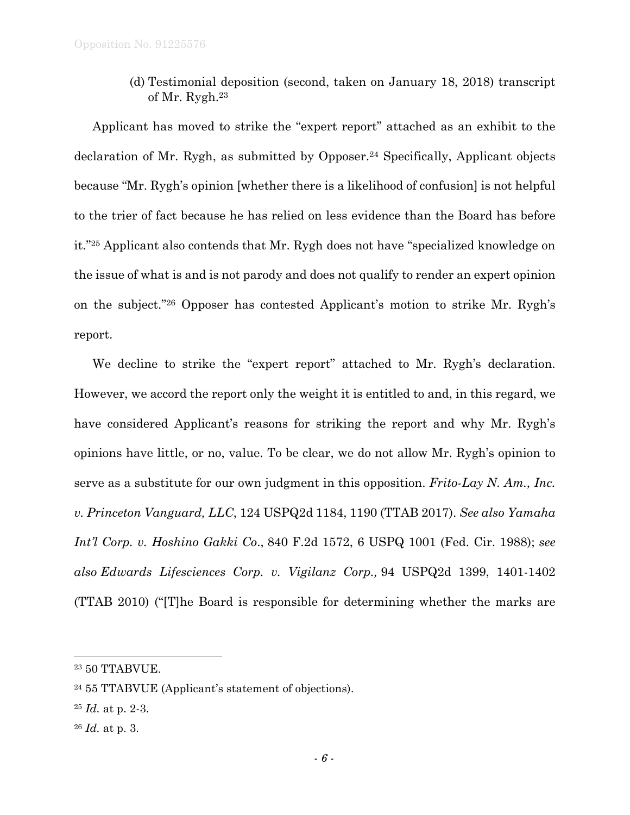(d) Testimonial deposition (second, taken on January 18, 2018) transcript of Mr. Rygh.23

Applicant has moved to strike the "expert report" attached as an exhibit to the declaration of Mr. Rygh, as submitted by Opposer.24 Specifically, Applicant objects because "Mr. Rygh's opinion [whether there is a likelihood of confusion] is not helpful to the trier of fact because he has relied on less evidence than the Board has before it."25 Applicant also contends that Mr. Rygh does not have "specialized knowledge on the issue of what is and is not parody and does not qualify to render an expert opinion on the subject."26 Opposer has contested Applicant's motion to strike Mr. Rygh's report.

We decline to strike the "expert report" attached to Mr. Rygh's declaration. However, we accord the report only the weight it is entitled to and, in this regard, we have considered Applicant's reasons for striking the report and why Mr. Rygh's opinions have little, or no, value. To be clear, we do not allow Mr. Rygh's opinion to serve as a substitute for our own judgment in this opposition. *Frito-Lay N. Am., Inc. v. Princeton Vanguard, LLC*, 124 USPQ2d 1184, 1190 (TTAB 2017). *See also Yamaha Int'l Corp. v. Hoshino Gakki Co*., 840 F.2d 1572, 6 USPQ 1001 (Fed. Cir. 1988); *see also Edwards Lifesciences Corp. v. Vigilanz Corp.,* 94 USPQ2d 1399, 1401-1402 (TTAB 2010) ("[T]he Board is responsible for determining whether the marks are

1

<sup>23 50</sup> TTABVUE.

<sup>24 55</sup> TTABVUE (Applicant's statement of objections).

<sup>25</sup> *Id.* at p. 2-3.

<sup>26</sup> *Id.* at p. 3.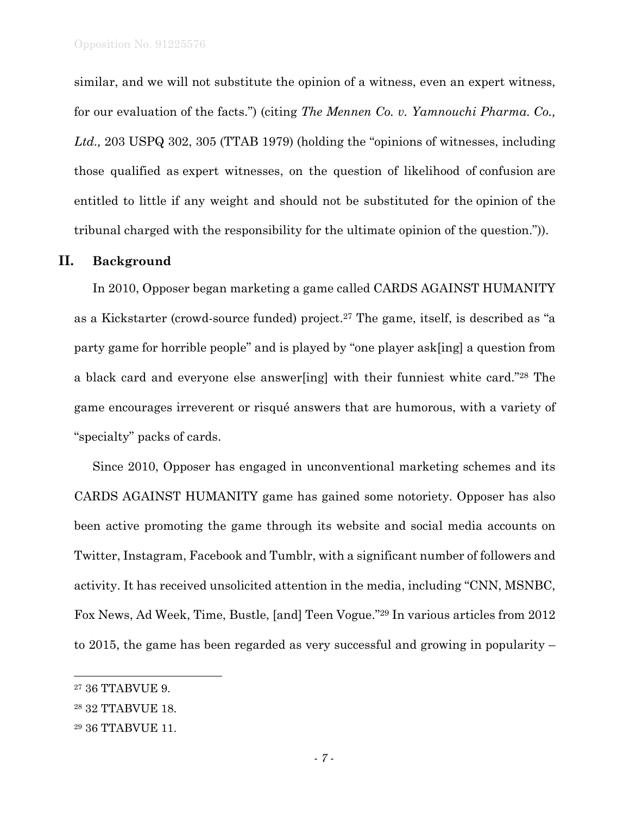similar, and we will not substitute the opinion of a witness, even an expert witness, for our evaluation of the facts.") (citing *The Mennen Co. v. Yamnouchi Pharma. Co., Ltd.,* 203 USPQ 302, 305 (TTAB 1979) (holding the "opinions of witnesses, including those qualified as expert witnesses, on the question of likelihood of confusion are entitled to little if any weight and should not be substituted for the opinion of the tribunal charged with the responsibility for the ultimate opinion of the question.")).

## **II. Background**

In 2010, Opposer began marketing a game called CARDS AGAINST HUMANITY as a Kickstarter (crowd-source funded) project.27 The game, itself, is described as "a party game for horrible people" and is played by "one player ask[ing] a question from a black card and everyone else answer[ing] with their funniest white card."28 The game encourages irreverent or risqué answers that are humorous, with a variety of "specialty" packs of cards.

Since 2010, Opposer has engaged in unconventional marketing schemes and its CARDS AGAINST HUMANITY game has gained some notoriety. Opposer has also been active promoting the game through its website and social media accounts on Twitter, Instagram, Facebook and Tumblr, with a significant number of followers and activity. It has received unsolicited attention in the media, including "CNN, MSNBC, Fox News, Ad Week, Time, Bustle, [and] Teen Vogue."29 In various articles from 2012 to 2015, the game has been regarded as very successful and growing in popularity –

l

<sup>27 36</sup> TTABVUE 9.

<sup>28 32</sup> TTABVUE 18.

<sup>29 36</sup> TTABVUE 11.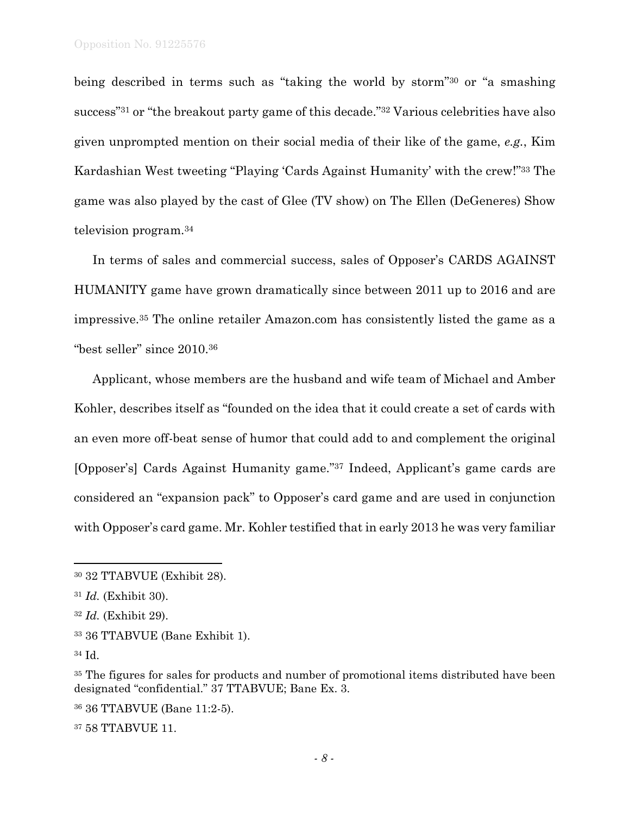being described in terms such as "taking the world by storm"30 or "a smashing success"31 or "the breakout party game of this decade."32 Various celebrities have also given unprompted mention on their social media of their like of the game, *e.g.*, Kim Kardashian West tweeting "Playing 'Cards Against Humanity' with the crew!"33 The game was also played by the cast of Glee (TV show) on The Ellen (DeGeneres) Show television program.34

In terms of sales and commercial success, sales of Opposer's CARDS AGAINST HUMANITY game have grown dramatically since between 2011 up to 2016 and are impressive.35 The online retailer Amazon.com has consistently listed the game as a "best seller" since 2010.36

Applicant, whose members are the husband and wife team of Michael and Amber Kohler, describes itself as "founded on the idea that it could create a set of cards with an even more off-beat sense of humor that could add to and complement the original [Opposer's] Cards Against Humanity game."37 Indeed, Applicant's game cards are considered an "expansion pack" to Opposer's card game and are used in conjunction with Opposer's card game. Mr. Kohler testified that in early 2013 he was very familiar

 $\overline{a}$ 

36 36 TTABVUE (Bane 11:2-5).

37 58 TTABVUE 11.

<sup>30 32</sup> TTABVUE (Exhibit 28).

<sup>31</sup> *Id.* (Exhibit 30).

<sup>32</sup> *Id.* (Exhibit 29).

<sup>33 36</sup> TTABVUE (Bane Exhibit 1).

<sup>34</sup> Id.

<sup>&</sup>lt;sup>35</sup> The figures for sales for products and number of promotional items distributed have been designated "confidential." 37 TTABVUE; Bane Ex. 3.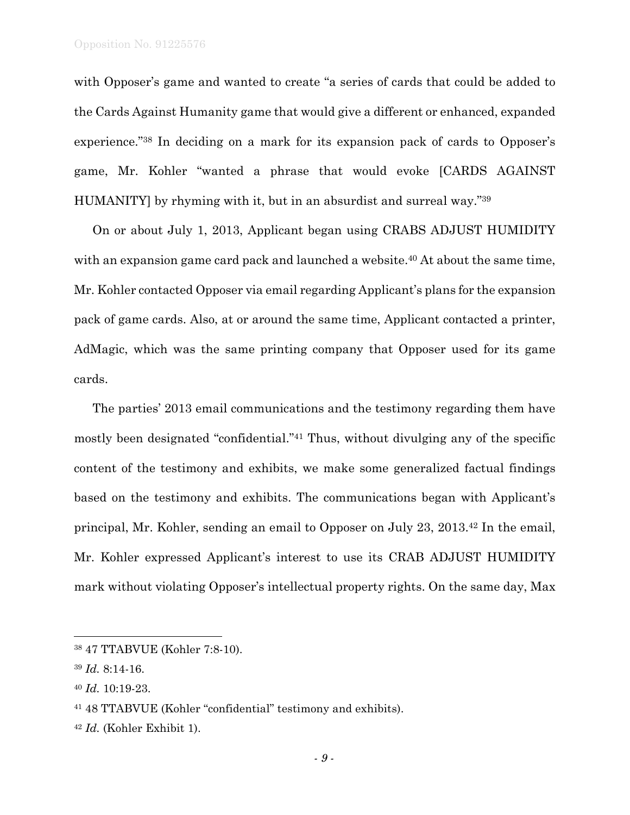with Opposer's game and wanted to create "a series of cards that could be added to the Cards Against Humanity game that would give a different or enhanced, expanded experience."38 In deciding on a mark for its expansion pack of cards to Opposer's game, Mr. Kohler "wanted a phrase that would evoke [CARDS AGAINST HUMANITY] by rhyming with it, but in an absurdist and surreal way."39

On or about July 1, 2013, Applicant began using CRABS ADJUST HUMIDITY with an expansion game card pack and launched a website.<sup>40</sup> At about the same time, Mr. Kohler contacted Opposer via email regarding Applicant's plans for the expansion pack of game cards. Also, at or around the same time, Applicant contacted a printer, AdMagic, which was the same printing company that Opposer used for its game cards.

The parties' 2013 email communications and the testimony regarding them have mostly been designated "confidential."41 Thus, without divulging any of the specific content of the testimony and exhibits, we make some generalized factual findings based on the testimony and exhibits. The communications began with Applicant's principal, Mr. Kohler, sending an email to Opposer on July 23, 2013.42 In the email, Mr. Kohler expressed Applicant's interest to use its CRAB ADJUST HUMIDITY mark without violating Opposer's intellectual property rights. On the same day, Max

<sup>38 47</sup> TTABVUE (Kohler 7:8-10).

<sup>39</sup> *Id.* 8:14-16.

<sup>40</sup> *Id.* 10:19-23.

<sup>41 48</sup> TTABVUE (Kohler "confidential" testimony and exhibits).

<sup>42</sup> *Id.* (Kohler Exhibit 1).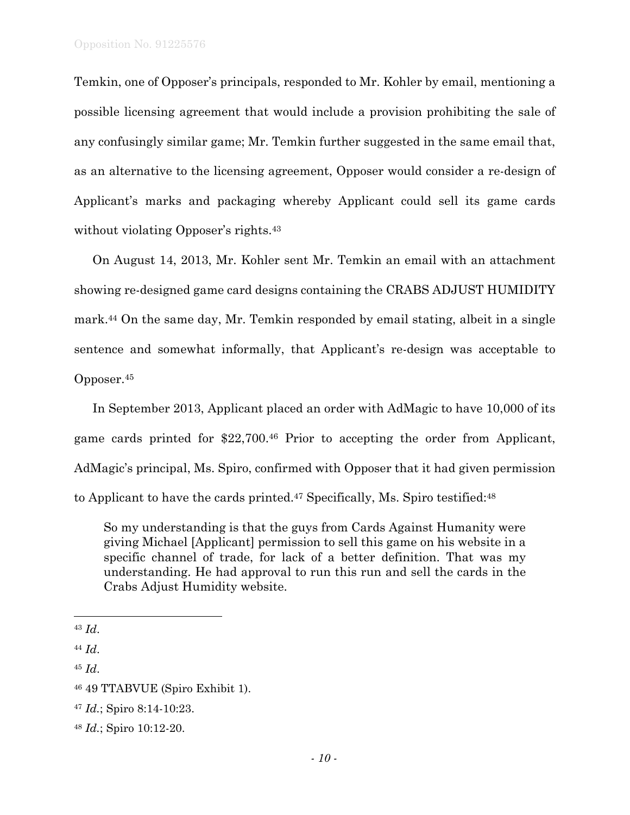Temkin, one of Opposer's principals, responded to Mr. Kohler by email, mentioning a possible licensing agreement that would include a provision prohibiting the sale of any confusingly similar game; Mr. Temkin further suggested in the same email that, as an alternative to the licensing agreement, Opposer would consider a re-design of Applicant's marks and packaging whereby Applicant could sell its game cards without violating Opposer's rights.<sup>43</sup>

On August 14, 2013, Mr. Kohler sent Mr. Temkin an email with an attachment showing re-designed game card designs containing the CRABS ADJUST HUMIDITY mark.44 On the same day, Mr. Temkin responded by email stating, albeit in a single sentence and somewhat informally, that Applicant's re-design was acceptable to Opposer.45

In September 2013, Applicant placed an order with AdMagic to have 10,000 of its game cards printed for \$22,700.46 Prior to accepting the order from Applicant, AdMagic's principal, Ms. Spiro, confirmed with Opposer that it had given permission to Applicant to have the cards printed.47 Specifically, Ms. Spiro testified:48

So my understanding is that the guys from Cards Against Humanity were giving Michael [Applicant] permission to sell this game on his website in a specific channel of trade, for lack of a better definition. That was my understanding. He had approval to run this run and sell the cards in the Crabs Adjust Humidity website.

1

<sup>43</sup> *Id*.

<sup>44</sup> *Id*.

<sup>45</sup> *Id*.

<sup>46 49</sup> TTABVUE (Spiro Exhibit 1).

<sup>47</sup> *Id.*; Spiro 8:14-10:23.

<sup>48</sup> *Id.*; Spiro 10:12-20.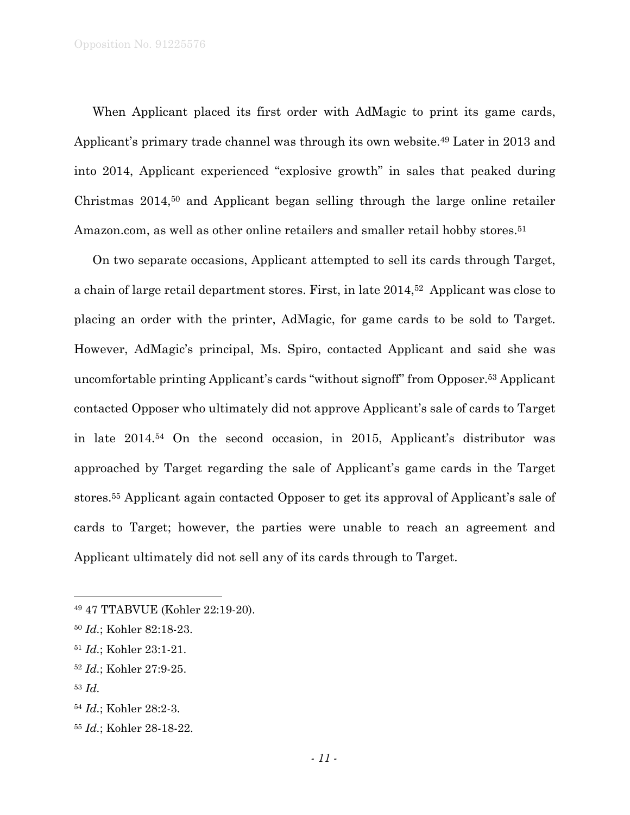When Applicant placed its first order with AdMagic to print its game cards, Applicant's primary trade channel was through its own website.49 Later in 2013 and into 2014, Applicant experienced "explosive growth" in sales that peaked during Christmas 2014,50 and Applicant began selling through the large online retailer Amazon.com, as well as other online retailers and smaller retail hobby stores.<sup>51</sup>

On two separate occasions, Applicant attempted to sell its cards through Target, a chain of large retail department stores. First, in late 2014,52 Applicant was close to placing an order with the printer, AdMagic, for game cards to be sold to Target. However, AdMagic's principal, Ms. Spiro, contacted Applicant and said she was uncomfortable printing Applicant's cards "without signoff" from Opposer.53 Applicant contacted Opposer who ultimately did not approve Applicant's sale of cards to Target in late 2014.54 On the second occasion, in 2015, Applicant's distributor was approached by Target regarding the sale of Applicant's game cards in the Target stores.55 Applicant again contacted Opposer to get its approval of Applicant's sale of cards to Target; however, the parties were unable to reach an agreement and Applicant ultimately did not sell any of its cards through to Target.

l

<sup>49 47</sup> TTABVUE (Kohler 22:19-20).

<sup>50</sup> *Id.*; Kohler 82:18-23.

<sup>51</sup> *Id.*; Kohler 23:1-21.

<sup>52</sup> *Id.*; Kohler 27:9-25.

<sup>53</sup> *Id.* 

<sup>54</sup> *Id.*; Kohler 28:2-3.

<sup>55</sup> *Id.*; Kohler 28-18-22.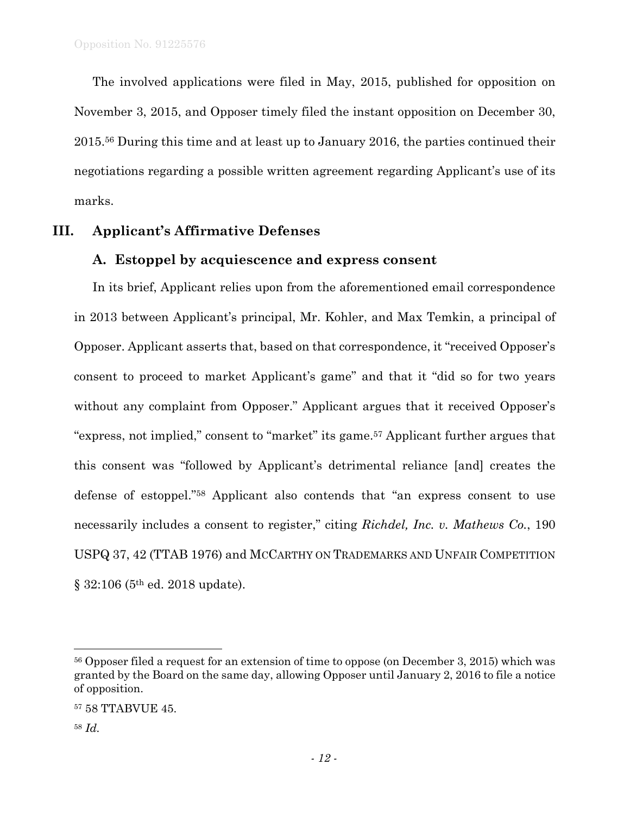The involved applications were filed in May, 2015, published for opposition on November 3, 2015, and Opposer timely filed the instant opposition on December 30, 2015.56 During this time and at least up to January 2016, the parties continued their negotiations regarding a possible written agreement regarding Applicant's use of its marks.

## **III. Applicant's Affirmative Defenses**

## **A. Estoppel by acquiescence and express consent**

In its brief, Applicant relies upon from the aforementioned email correspondence in 2013 between Applicant's principal, Mr. Kohler, and Max Temkin, a principal of Opposer. Applicant asserts that, based on that correspondence, it "received Opposer's consent to proceed to market Applicant's game" and that it "did so for two years without any complaint from Opposer." Applicant argues that it received Opposer's "express, not implied," consent to "market" its game.57 Applicant further argues that this consent was "followed by Applicant's detrimental reliance [and] creates the defense of estoppel."58 Applicant also contends that "an express consent to use necessarily includes a consent to register," citing *Richdel, Inc. v. Mathews Co.*, 190 USPQ 37, 42 (TTAB 1976) and MCCARTHY ON TRADEMARKS AND UNFAIR COMPETITION § 32:106 (5th ed. 2018 update).

1

<sup>56</sup> Opposer filed a request for an extension of time to oppose (on December 3, 2015) which was granted by the Board on the same day, allowing Opposer until January 2, 2016 to file a notice of opposition.

<sup>57 58</sup> TTABVUE 45.

<sup>58</sup> *Id.*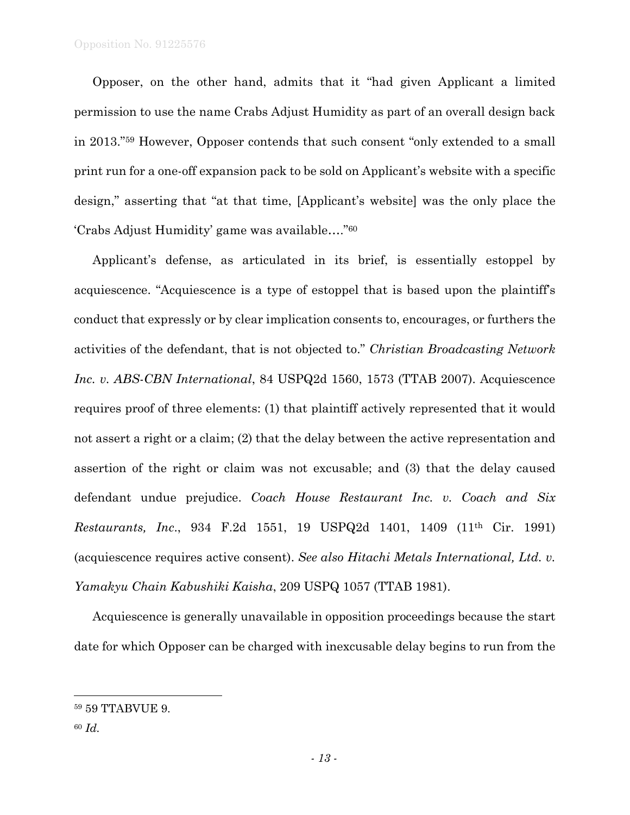Opposer, on the other hand, admits that it "had given Applicant a limited permission to use the name Crabs Adjust Humidity as part of an overall design back in 2013."59 However, Opposer contends that such consent "only extended to a small print run for a one-off expansion pack to be sold on Applicant's website with a specific design," asserting that "at that time, [Applicant's website] was the only place the 'Crabs Adjust Humidity' game was available…."60

Applicant's defense, as articulated in its brief, is essentially estoppel by acquiescence. "Acquiescence is a type of estoppel that is based upon the plaintiff's conduct that expressly or by clear implication consents to, encourages, or furthers the activities of the defendant, that is not objected to." *Christian Broadcasting Network Inc. v. ABS-CBN International*, 84 USPQ2d 1560, 1573 (TTAB 2007). Acquiescence requires proof of three elements: (1) that plaintiff actively represented that it would not assert a right or a claim; (2) that the delay between the active representation and assertion of the right or claim was not excusable; and (3) that the delay caused defendant undue prejudice. *Coach House Restaurant Inc. v. Coach and Six Restaurants, Inc*., 934 F.2d 1551, 19 USPQ2d 1401, 1409 (11th Cir. 1991) (acquiescence requires active consent). *See also Hitachi Metals International, Ltd. v. Yamakyu Chain Kabushiki Kaisha*, 209 USPQ 1057 (TTAB 1981).

Acquiescence is generally unavailable in opposition proceedings because the start date for which Opposer can be charged with inexcusable delay begins to run from the

<sup>59 59</sup> TTABVUE 9.

<sup>60</sup> *Id.*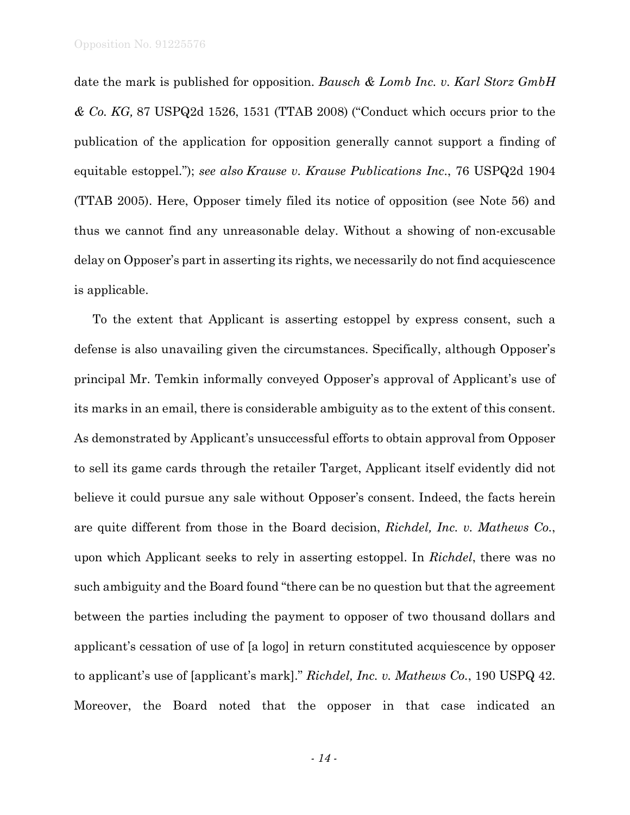date the mark is published for opposition. *Bausch & Lomb Inc. v. Karl Storz GmbH & Co. KG,* 87 USPQ2d 1526, 1531 (TTAB 2008) ("Conduct which occurs prior to the publication of the application for opposition generally cannot support a finding of equitable estoppel."); *see also Krause v. Krause Publications Inc*., 76 USPQ2d 1904 (TTAB 2005). Here, Opposer timely filed its notice of opposition (see Note 56) and thus we cannot find any unreasonable delay. Without a showing of non-excusable delay on Opposer's part in asserting its rights, we necessarily do not find acquiescence is applicable.

To the extent that Applicant is asserting estoppel by express consent, such a defense is also unavailing given the circumstances. Specifically, although Opposer's principal Mr. Temkin informally conveyed Opposer's approval of Applicant's use of its marks in an email, there is considerable ambiguity as to the extent of this consent. As demonstrated by Applicant's unsuccessful efforts to obtain approval from Opposer to sell its game cards through the retailer Target, Applicant itself evidently did not believe it could pursue any sale without Opposer's consent. Indeed, the facts herein are quite different from those in the Board decision, *Richdel, Inc. v. Mathews Co.*, upon which Applicant seeks to rely in asserting estoppel. In *Richdel*, there was no such ambiguity and the Board found "there can be no question but that the agreement between the parties including the payment to opposer of two thousand dollars and applicant's cessation of use of [a logo] in return constituted acquiescence by opposer to applicant's use of [applicant's mark]." *Richdel, Inc. v. Mathews Co.*, 190 USPQ 42. Moreover, the Board noted that the opposer in that case indicated an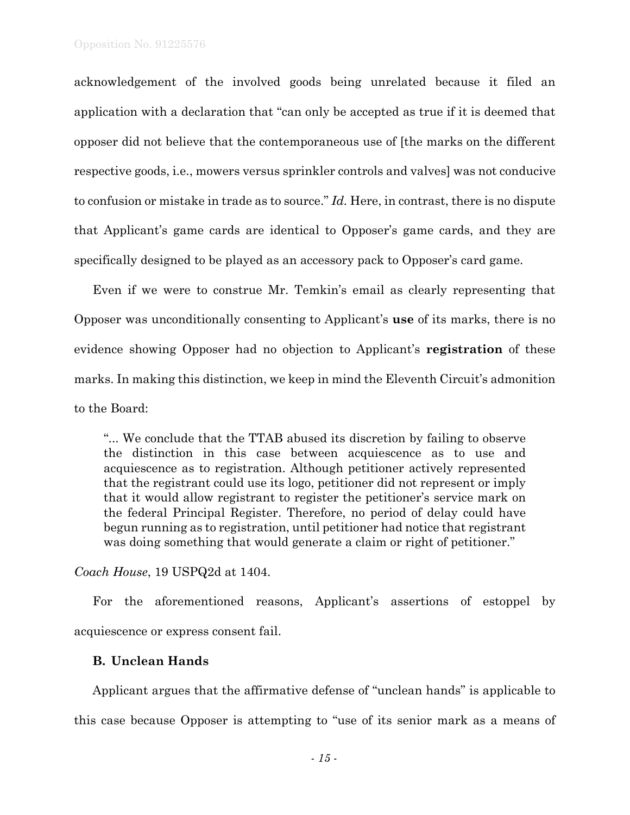acknowledgement of the involved goods being unrelated because it filed an application with a declaration that "can only be accepted as true if it is deemed that opposer did not believe that the contemporaneous use of [the marks on the different respective goods, i.e., mowers versus sprinkler controls and valves] was not conducive to confusion or mistake in trade as to source." *Id.* Here, in contrast, there is no dispute that Applicant's game cards are identical to Opposer's game cards, and they are specifically designed to be played as an accessory pack to Opposer's card game.

Even if we were to construe Mr. Temkin's email as clearly representing that Opposer was unconditionally consenting to Applicant's **use** of its marks, there is no evidence showing Opposer had no objection to Applicant's **registration** of these marks. In making this distinction, we keep in mind the Eleventh Circuit's admonition to the Board:

"... We conclude that the TTAB abused its discretion by failing to observe the distinction in this case between acquiescence as to use and acquiescence as to registration. Although petitioner actively represented that the registrant could use its logo, petitioner did not represent or imply that it would allow registrant to register the petitioner's service mark on the federal Principal Register. Therefore, no period of delay could have begun running as to registration, until petitioner had notice that registrant was doing something that would generate a claim or right of petitioner."

*Coach House*, 19 USPQ2d at 1404.

For the aforementioned reasons, Applicant's assertions of estoppel by acquiescence or express consent fail.

### **B. Unclean Hands**

Applicant argues that the affirmative defense of "unclean hands" is applicable to this case because Opposer is attempting to "use of its senior mark as a means of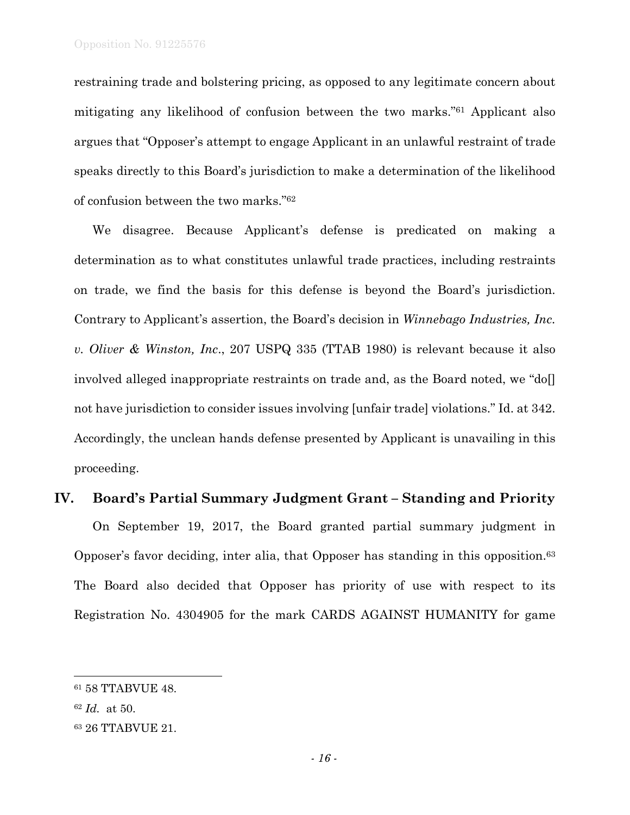restraining trade and bolstering pricing, as opposed to any legitimate concern about mitigating any likelihood of confusion between the two marks."61 Applicant also argues that "Opposer's attempt to engage Applicant in an unlawful restraint of trade speaks directly to this Board's jurisdiction to make a determination of the likelihood of confusion between the two marks."62

We disagree. Because Applicant's defense is predicated on making a determination as to what constitutes unlawful trade practices, including restraints on trade, we find the basis for this defense is beyond the Board's jurisdiction. Contrary to Applicant's assertion, the Board's decision in *Winnebago Industries, Inc. v. Oliver & Winston, Inc*., 207 USPQ 335 (TTAB 1980) is relevant because it also involved alleged inappropriate restraints on trade and, as the Board noted, we "do. not have jurisdiction to consider issues involving [unfair trade] violations." Id. at 342. Accordingly, the unclean hands defense presented by Applicant is unavailing in this proceeding.

## **IV. Board's Partial Summary Judgment Grant – Standing and Priority**

On September 19, 2017, the Board granted partial summary judgment in Opposer's favor deciding, inter alia, that Opposer has standing in this opposition.63 The Board also decided that Opposer has priority of use with respect to its Registration No. 4304905 for the mark CARDS AGAINST HUMANITY for game

<sup>61 58</sup> TTABVUE 48.

<sup>62</sup> *Id.* at 50.

<sup>63 26</sup> TTABVUE 21.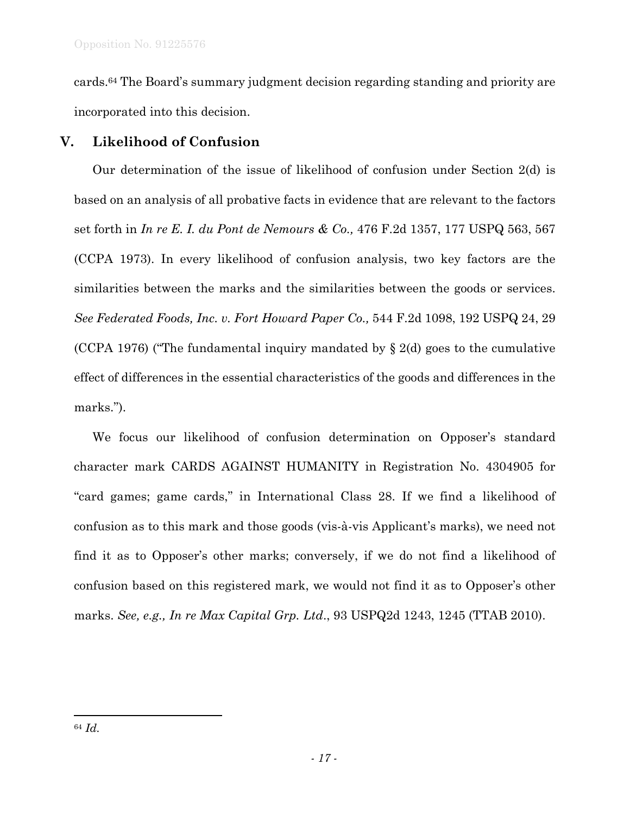cards.64 The Board's summary judgment decision regarding standing and priority are incorporated into this decision.

# **V. Likelihood of Confusion**

Our determination of the issue of likelihood of confusion under Section 2(d) is based on an analysis of all probative facts in evidence that are relevant to the factors set forth in *In re E. I. du Pont de Nemours & Co.,* 476 F.2d 1357, 177 USPQ 563, 567 (CCPA 1973). In every likelihood of confusion analysis, two key factors are the similarities between the marks and the similarities between the goods or services. *See Federated Foods, Inc. v. Fort Howard Paper Co.,* 544 F.2d 1098, 192 USPQ 24, 29 (CCPA 1976) ("The fundamental inquiry mandated by  $\S 2(d)$  goes to the cumulative effect of differences in the essential characteristics of the goods and differences in the marks.").

We focus our likelihood of confusion determination on Opposer's standard character mark CARDS AGAINST HUMANITY in Registration No. 4304905 for "card games; game cards," in International Class 28. If we find a likelihood of confusion as to this mark and those goods (vis-à-vis Applicant's marks), we need not find it as to Opposer's other marks; conversely, if we do not find a likelihood of confusion based on this registered mark, we would not find it as to Opposer's other marks. *See, e.g., In re Max Capital Grp. Ltd*., 93 USPQ2d 1243, 1245 (TTAB 2010).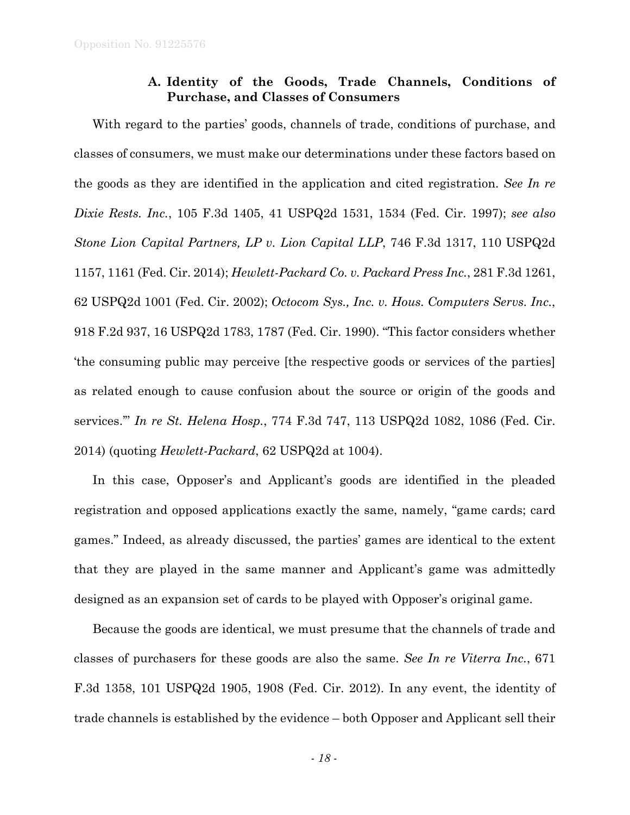## **A. Identity of the Goods, Trade Channels, Conditions of Purchase, and Classes of Consumers**

With regard to the parties' goods, channels of trade, conditions of purchase, and classes of consumers, we must make our determinations under these factors based on the goods as they are identified in the application and cited registration. *See In re Dixie Rests. Inc.*, 105 F.3d 1405, 41 USPQ2d 1531, 1534 (Fed. Cir. 1997); *see also Stone Lion Capital Partners, LP v. Lion Capital LLP*, 746 F.3d 1317, 110 USPQ2d 1157, 1161 (Fed. Cir. 2014); *Hewlett-Packard Co. v. Packard Press Inc.*, 281 F.3d 1261, 62 USPQ2d 1001 (Fed. Cir. 2002); *Octocom Sys., Inc. v. Hous. Computers Servs. Inc.*, 918 F.2d 937, 16 USPQ2d 1783, 1787 (Fed. Cir. 1990). "This factor considers whether 'the consuming public may perceive [the respective goods or services of the parties] as related enough to cause confusion about the source or origin of the goods and services.'" *In re St. Helena Hosp.*, 774 F.3d 747, 113 USPQ2d 1082, 1086 (Fed. Cir. 2014) (quoting *Hewlett-Packard*, 62 USPQ2d at 1004).

In this case, Opposer's and Applicant's goods are identified in the pleaded registration and opposed applications exactly the same, namely, "game cards; card games." Indeed, as already discussed, the parties' games are identical to the extent that they are played in the same manner and Applicant's game was admittedly designed as an expansion set of cards to be played with Opposer's original game.

Because the goods are identical, we must presume that the channels of trade and classes of purchasers for these goods are also the same. *See In re Viterra Inc.*, 671 F.3d 1358, 101 USPQ2d 1905, 1908 (Fed. Cir. 2012). In any event, the identity of trade channels is established by the evidence – both Opposer and Applicant sell their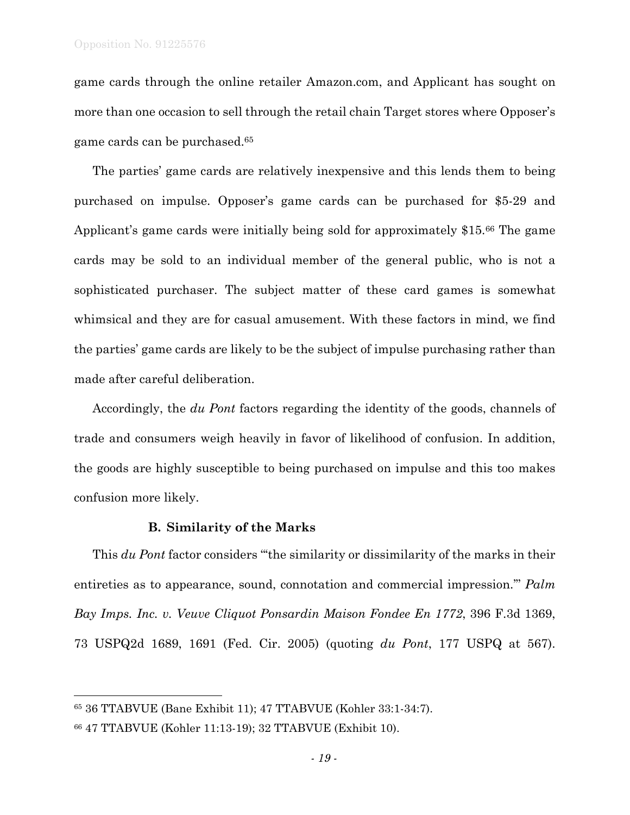game cards through the online retailer Amazon.com, and Applicant has sought on more than one occasion to sell through the retail chain Target stores where Opposer's game cards can be purchased.65

The parties' game cards are relatively inexpensive and this lends them to being purchased on impulse. Opposer's game cards can be purchased for \$5-29 and Applicant's game cards were initially being sold for approximately \$15.66 The game cards may be sold to an individual member of the general public, who is not a sophisticated purchaser. The subject matter of these card games is somewhat whimsical and they are for casual amusement. With these factors in mind, we find the parties' game cards are likely to be the subject of impulse purchasing rather than made after careful deliberation.

Accordingly, the *du Pont* factors regarding the identity of the goods, channels of trade and consumers weigh heavily in favor of likelihood of confusion. In addition, the goods are highly susceptible to being purchased on impulse and this too makes confusion more likely.

### **B. Similarity of the Marks**

This *du Pont* factor considers "'the similarity or dissimilarity of the marks in their entireties as to appearance, sound, connotation and commercial impression.'" *Palm Bay Imps. Inc. v. Veuve Cliquot Ponsardin Maison Fondee En 1772*, 396 F.3d 1369, 73 USPQ2d 1689, 1691 (Fed. Cir. 2005) (quoting *du Pont*, 177 USPQ at 567).

1

<sup>65 36</sup> TTABVUE (Bane Exhibit 11); 47 TTABVUE (Kohler 33:1-34:7).

<sup>66 47</sup> TTABVUE (Kohler 11:13-19); 32 TTABVUE (Exhibit 10).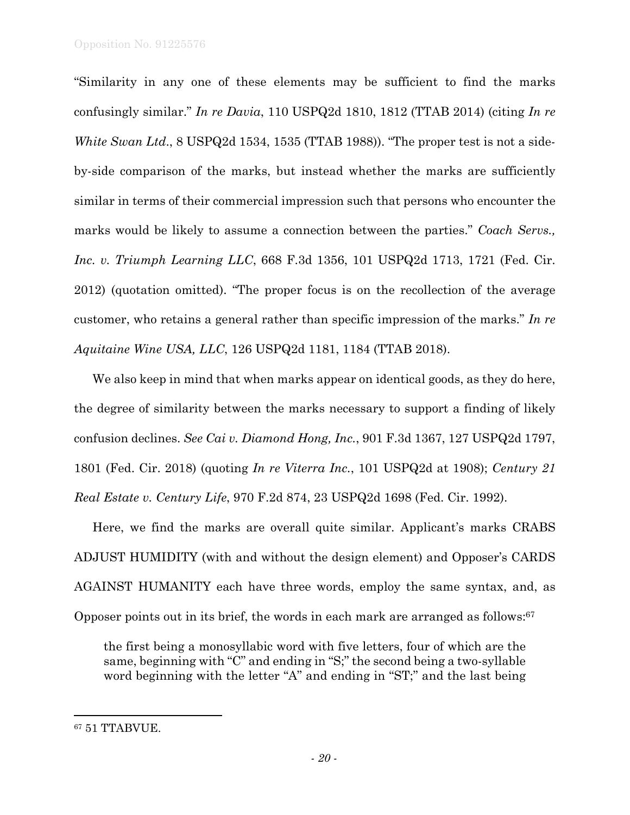"Similarity in any one of these elements may be sufficient to find the marks confusingly similar." *In re Davia*, 110 USPQ2d 1810, 1812 (TTAB 2014) (citing *In re White Swan Ltd*., 8 USPQ2d 1534, 1535 (TTAB 1988)). "The proper test is not a sideby-side comparison of the marks, but instead whether the marks are sufficiently similar in terms of their commercial impression such that persons who encounter the marks would be likely to assume a connection between the parties." *Coach Servs., Inc. v. Triumph Learning LLC*, 668 F.3d 1356, 101 USPQ2d 1713, 1721 (Fed. Cir. 2012) (quotation omitted). "The proper focus is on the recollection of the average customer, who retains a general rather than specific impression of the marks." *In re Aquitaine Wine USA, LLC*, 126 USPQ2d 1181, 1184 (TTAB 2018).

We also keep in mind that when marks appear on identical goods, as they do here, the degree of similarity between the marks necessary to support a finding of likely confusion declines. *See Cai v. Diamond Hong, Inc.*, 901 F.3d 1367, 127 USPQ2d 1797, 1801 (Fed. Cir. 2018) (quoting *In re Viterra Inc.*, 101 USPQ2d at 1908); *Century 21 Real Estate v. Century Life*, 970 F.2d 874, 23 USPQ2d 1698 (Fed. Cir. 1992).

Here, we find the marks are overall quite similar. Applicant's marks CRABS ADJUST HUMIDITY (with and without the design element) and Opposer's CARDS AGAINST HUMANITY each have three words, employ the same syntax, and, as Opposer points out in its brief, the words in each mark are arranged as follows:67

the first being a monosyllabic word with five letters, four of which are the same, beginning with "C" and ending in "S;" the second being a two-syllable word beginning with the letter "A" and ending in "ST;" and the last being

<sup>67 51</sup> TTABVUE.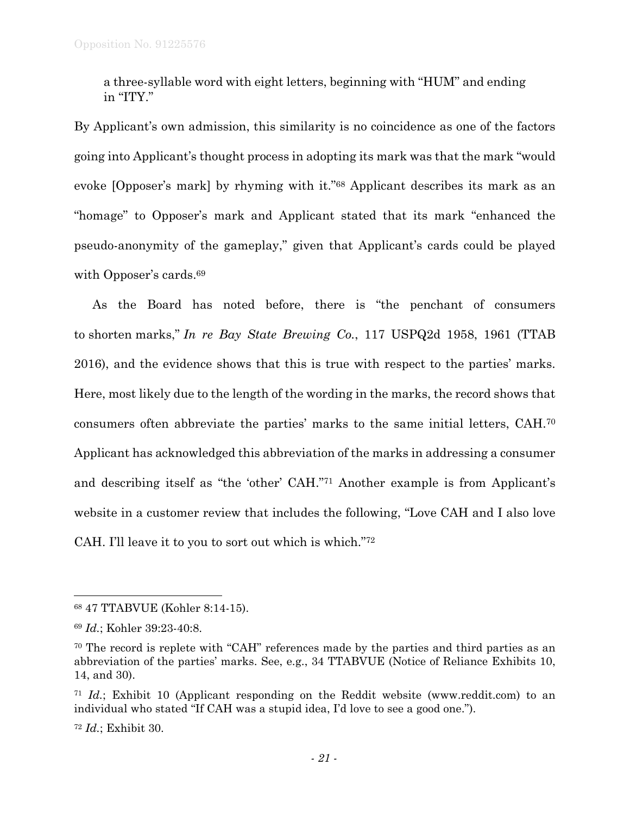a three-syllable word with eight letters, beginning with "HUM" and ending in "ITY."

By Applicant's own admission, this similarity is no coincidence as one of the factors going into Applicant's thought process in adopting its mark was that the mark "would evoke [Opposer's mark] by rhyming with it."68 Applicant describes its mark as an "homage" to Opposer's mark and Applicant stated that its mark "enhanced the pseudo-anonymity of the gameplay," given that Applicant's cards could be played with Opposer's cards.<sup>69</sup>

As the Board has noted before, there is "the penchant of consumers to shorten marks," *In re Bay State Brewing Co.*, 117 USPQ2d 1958, 1961 (TTAB 2016), and the evidence shows that this is true with respect to the parties' marks. Here, most likely due to the length of the wording in the marks, the record shows that consumers often abbreviate the parties' marks to the same initial letters, CAH.70 Applicant has acknowledged this abbreviation of the marks in addressing a consumer and describing itself as "the 'other' CAH."71 Another example is from Applicant's website in a customer review that includes the following, "Love CAH and I also love CAH. I'll leave it to you to sort out which is which."72

<sup>72</sup> *Id.*; Exhibit 30.

<sup>68 47</sup> TTABVUE (Kohler 8:14-15).

<sup>69</sup> *Id.*; Kohler 39:23-40:8.

<sup>70</sup> The record is replete with "CAH" references made by the parties and third parties as an abbreviation of the parties' marks. See, e.g., 34 TTABVUE (Notice of Reliance Exhibits 10, 14, and 30).

<sup>71</sup> *Id.*; Exhibit 10 (Applicant responding on the Reddit website (www.reddit.com) to an individual who stated "If CAH was a stupid idea, I'd love to see a good one.").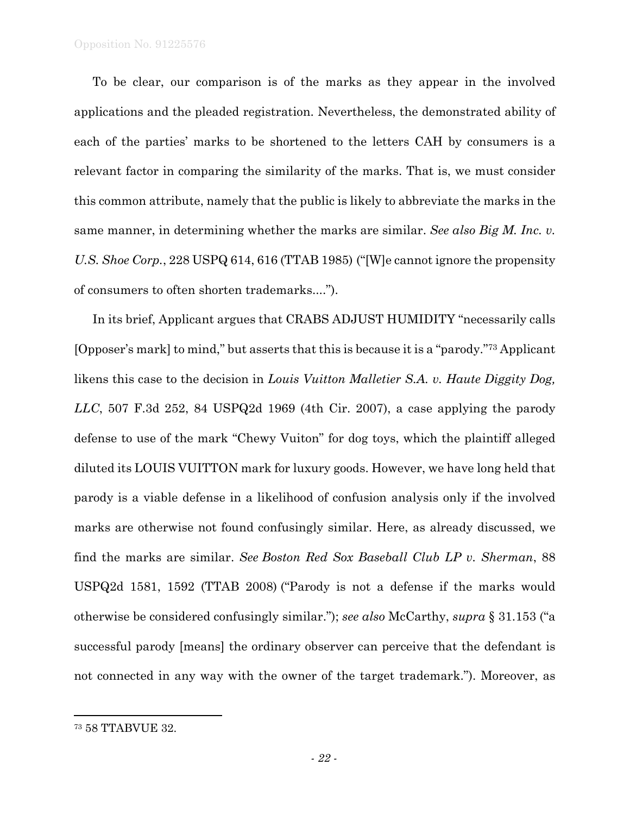To be clear, our comparison is of the marks as they appear in the involved applications and the pleaded registration. Nevertheless, the demonstrated ability of each of the parties' marks to be shortened to the letters CAH by consumers is a relevant factor in comparing the similarity of the marks. That is, we must consider this common attribute, namely that the public is likely to abbreviate the marks in the same manner, in determining whether the marks are similar. *See also Big M. Inc. v. U.S. Shoe Corp.*, 228 USPQ 614, 616 (TTAB 1985) ("[W]e cannot ignore the propensity of consumers to often shorten trademarks....").

In its brief, Applicant argues that CRABS ADJUST HUMIDITY "necessarily calls [Opposer's mark] to mind," but asserts that this is because it is a "parody."73 Applicant likens this case to the decision in *Louis Vuitton Malletier S.A. v. Haute Diggity Dog, LLC*, 507 F.3d 252, 84 USPQ2d 1969 (4th Cir. 2007), a case applying the parody defense to use of the mark "Chewy Vuiton" for dog toys, which the plaintiff alleged diluted its LOUIS VUITTON mark for luxury goods. However, we have long held that parody is a viable defense in a likelihood of confusion analysis only if the involved marks are otherwise not found confusingly similar. Here, as already discussed, we find the marks are similar. *See Boston Red Sox Baseball Club LP v. Sherman*, 88 USPQ2d 1581, 1592 (TTAB 2008) ("Parody is not a defense if the marks would otherwise be considered confusingly similar."); *see also* McCarthy, *supra* § 31.153 ("a successful parody [means] the ordinary observer can perceive that the defendant is not connected in any way with the owner of the target trademark."). Moreover, as

1

<sup>73 58</sup> TTABVUE 32.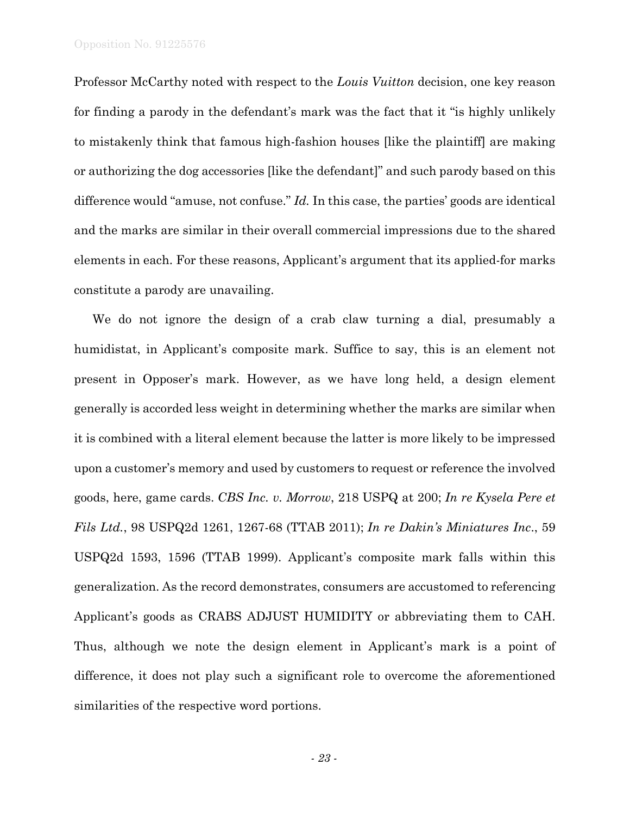Professor McCarthy noted with respect to the *Louis Vuitton* decision, one key reason for finding a parody in the defendant's mark was the fact that it "is highly unlikely to mistakenly think that famous high-fashion houses [like the plaintiff] are making or authorizing the dog accessories [like the defendant]" and such parody based on this difference would "amuse, not confuse." *Id.* In this case, the parties' goods are identical and the marks are similar in their overall commercial impressions due to the shared elements in each. For these reasons, Applicant's argument that its applied-for marks constitute a parody are unavailing.

We do not ignore the design of a crab claw turning a dial, presumably a humidistat, in Applicant's composite mark. Suffice to say, this is an element not present in Opposer's mark. However, as we have long held, a design element generally is accorded less weight in determining whether the marks are similar when it is combined with a literal element because the latter is more likely to be impressed upon a customer's memory and used by customers to request or reference the involved goods, here, game cards. *CBS Inc. v. Morrow*, 218 USPQ at 200; *In re Kysela Pere et Fils Ltd.*, 98 USPQ2d 1261, 1267-68 (TTAB 2011); *In re Dakin's Miniatures Inc*., 59 USPQ2d 1593, 1596 (TTAB 1999). Applicant's composite mark falls within this generalization. As the record demonstrates, consumers are accustomed to referencing Applicant's goods as CRABS ADJUST HUMIDITY or abbreviating them to CAH. Thus, although we note the design element in Applicant's mark is a point of difference, it does not play such a significant role to overcome the aforementioned similarities of the respective word portions.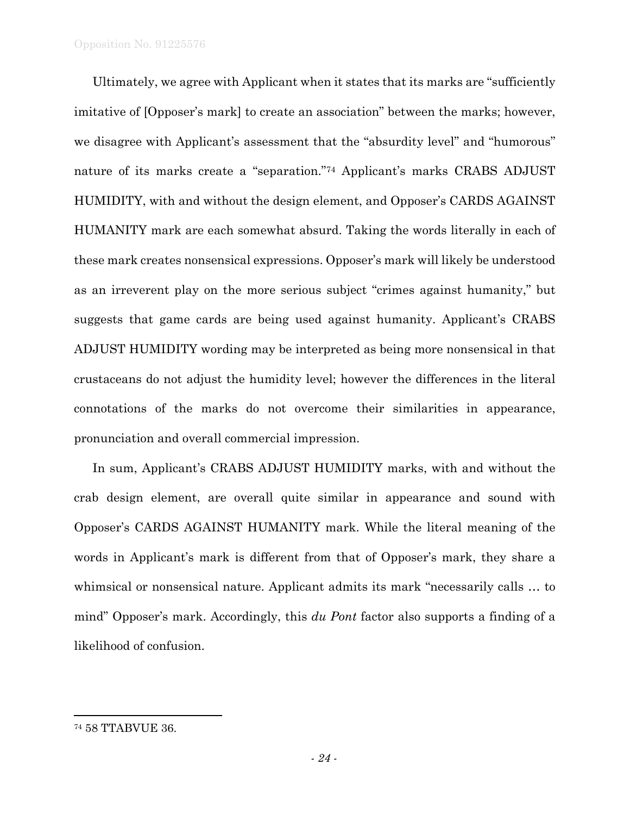Ultimately, we agree with Applicant when it states that its marks are "sufficiently imitative of [Opposer's mark] to create an association" between the marks; however, we disagree with Applicant's assessment that the "absurdity level" and "humorous" nature of its marks create a "separation."74 Applicant's marks CRABS ADJUST HUMIDITY, with and without the design element, and Opposer's CARDS AGAINST HUMANITY mark are each somewhat absurd. Taking the words literally in each of these mark creates nonsensical expressions. Opposer's mark will likely be understood as an irreverent play on the more serious subject "crimes against humanity," but suggests that game cards are being used against humanity. Applicant's CRABS ADJUST HUMIDITY wording may be interpreted as being more nonsensical in that crustaceans do not adjust the humidity level; however the differences in the literal connotations of the marks do not overcome their similarities in appearance, pronunciation and overall commercial impression.

In sum, Applicant's CRABS ADJUST HUMIDITY marks, with and without the crab design element, are overall quite similar in appearance and sound with Opposer's CARDS AGAINST HUMANITY mark. While the literal meaning of the words in Applicant's mark is different from that of Opposer's mark, they share a whimsical or nonsensical nature. Applicant admits its mark "necessarily calls … to mind" Opposer's mark. Accordingly, this *du Pont* factor also supports a finding of a likelihood of confusion.

<sup>74 58</sup> TTABVUE 36.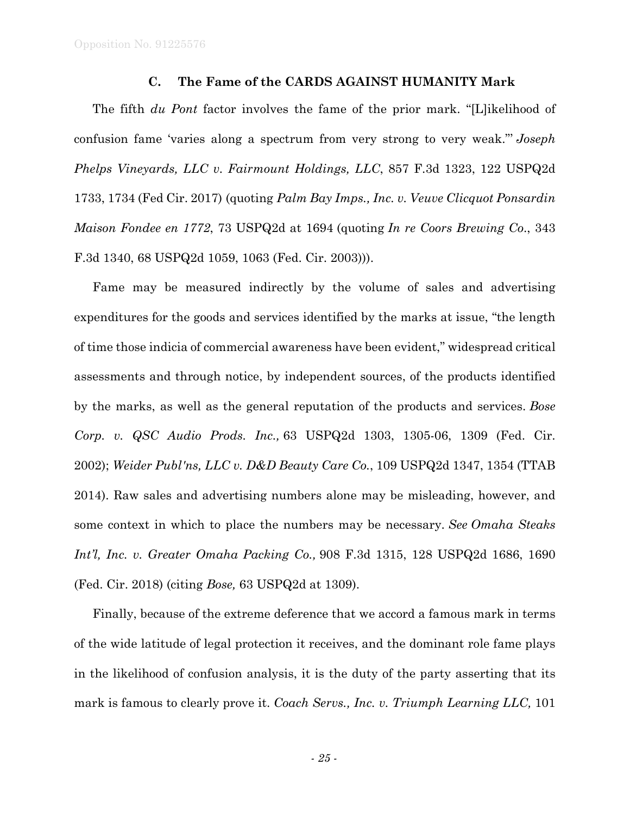Opposition No. 91225576

## **C. The Fame of the CARDS AGAINST HUMANITY Mark**

The fifth *du Pont* factor involves the fame of the prior mark. "[L]ikelihood of confusion fame 'varies along a spectrum from very strong to very weak."' *Joseph Phelps Vineyards, LLC v. Fairmount Holdings, LLC*, 857 F.3d 1323, 122 USPQ2d 1733, 1734 (Fed Cir. 2017) (quoting *Palm Bay Imps., Inc. v. Veuve Clicquot Ponsardin Maison Fondee en 1772*, 73 USPQ2d at 1694 (quoting *In re Coors Brewing Co*., 343 F.3d 1340, 68 USPQ2d 1059, 1063 (Fed. Cir. 2003))).

Fame may be measured indirectly by the volume of sales and advertising expenditures for the goods and services identified by the marks at issue, "the length of time those indicia of commercial awareness have been evident," widespread critical assessments and through notice, by independent sources, of the products identified by the marks, as well as the general reputation of the products and services. *Bose Corp. v. QSC Audio Prods. Inc.,* 63 USPQ2d 1303, 1305-06, 1309 (Fed. Cir. 2002); *Weider Publ'ns, LLC v. D&D Beauty Care Co.*, 109 USPQ2d 1347, 1354 (TTAB 2014). Raw sales and advertising numbers alone may be misleading, however, and some context in which to place the numbers may be necessary. *See Omaha Steaks Int'l, Inc. v. Greater Omaha Packing Co.,* 908 F.3d 1315, 128 USPQ2d 1686, 1690 (Fed. Cir. 2018) (citing *Bose,* 63 USPQ2d at 1309).

Finally, because of the extreme deference that we accord a famous mark in terms of the wide latitude of legal protection it receives, and the dominant role fame plays in the likelihood of confusion analysis, it is the duty of the party asserting that its mark is famous to clearly prove it. *Coach Servs., Inc. v. Triumph Learning LLC,* 101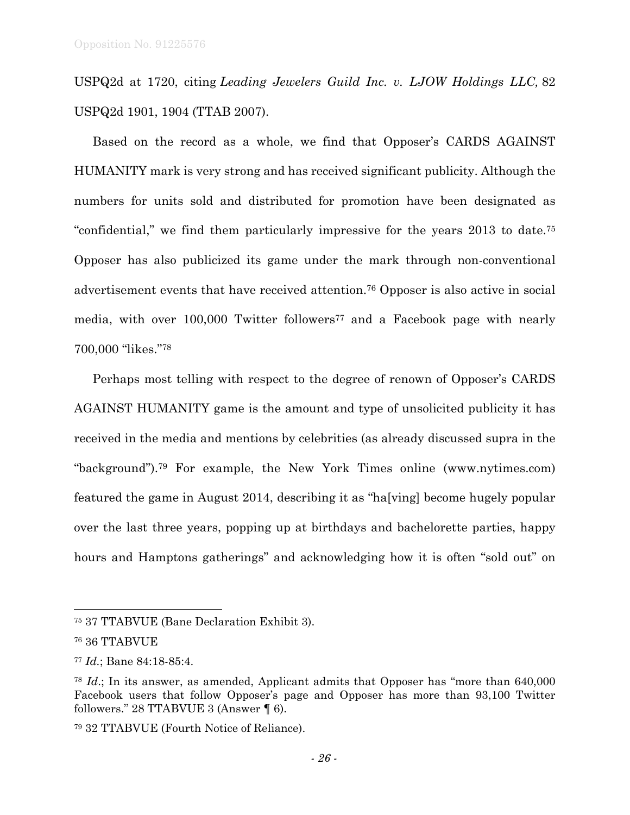USPQ2d at 1720, citing *Leading Jewelers Guild Inc. v. LJOW Holdings LLC,* 82 USPQ2d 1901, 1904 (TTAB 2007).

Based on the record as a whole, we find that Opposer's CARDS AGAINST HUMANITY mark is very strong and has received significant publicity. Although the numbers for units sold and distributed for promotion have been designated as "confidential," we find them particularly impressive for the years 2013 to date.75 Opposer has also publicized its game under the mark through non-conventional advertisement events that have received attention.76 Opposer is also active in social media, with over 100,000 Twitter followers<sup>77</sup> and a Facebook page with nearly 700,000 "likes."78

Perhaps most telling with respect to the degree of renown of Opposer's CARDS AGAINST HUMANITY game is the amount and type of unsolicited publicity it has received in the media and mentions by celebrities (as already discussed supra in the "background").79 For example, the New York Times online (www.nytimes.com) featured the game in August 2014, describing it as "ha[ving] become hugely popular over the last three years, popping up at birthdays and bachelorette parties, happy hours and Hamptons gatherings" and acknowledging how it is often "sold out" on

l

<sup>75 37</sup> TTABVUE (Bane Declaration Exhibit 3).

<sup>76 36</sup> TTABVUE

<sup>77</sup> *Id.*; Bane 84:18-85:4.

<sup>78</sup> *Id*.; In its answer, as amended, Applicant admits that Opposer has "more than 640,000 Facebook users that follow Opposer's page and Opposer has more than 93,100 Twitter followers." 28 TTABVUE 3 (Answer ¶ 6).

<sup>79 32</sup> TTABVUE (Fourth Notice of Reliance).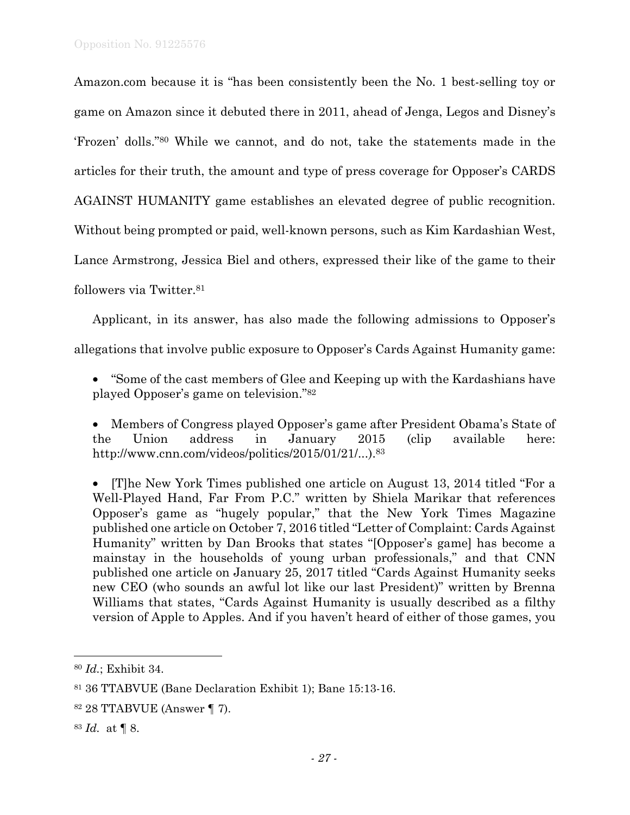Amazon.com because it is "has been consistently been the No. 1 best-selling toy or game on Amazon since it debuted there in 2011, ahead of Jenga, Legos and Disney's 'Frozen' dolls."80 While we cannot, and do not, take the statements made in the articles for their truth, the amount and type of press coverage for Opposer's CARDS AGAINST HUMANITY game establishes an elevated degree of public recognition. Without being prompted or paid, well-known persons, such as Kim Kardashian West, Lance Armstrong, Jessica Biel and others, expressed their like of the game to their followers via Twitter.81

Applicant, in its answer, has also made the following admissions to Opposer's allegations that involve public exposure to Opposer's Cards Against Humanity game:

• "Some of the cast members of Glee and Keeping up with the Kardashians have played Opposer's game on television."82

• Members of Congress played Opposer's game after President Obama's State of the Union address in January 2015 (clip available here: http://www.cnn.com/videos/politics/2015/01/21/...).83

• [T]he New York Times published one article on August 13, 2014 titled "For a Well-Played Hand, Far From P.C." written by Shiela Marikar that references Opposer's game as "hugely popular," that the New York Times Magazine published one article on October 7, 2016 titled "Letter of Complaint: Cards Against Humanity" written by Dan Brooks that states "[Opposer's game] has become a mainstay in the households of young urban professionals," and that CNN published one article on January 25, 2017 titled "Cards Against Humanity seeks new CEO (who sounds an awful lot like our last President)" written by Brenna Williams that states, "Cards Against Humanity is usually described as a filthy version of Apple to Apples. And if you haven't heard of either of those games, you

<sup>83</sup> *Id.* at ¶ 8.

1

<sup>80</sup> *Id.*; Exhibit 34.

<sup>81 36</sup> TTABVUE (Bane Declaration Exhibit 1); Bane 15:13-16.

<sup>82 28</sup> TTABVUE (Answer ¶ 7).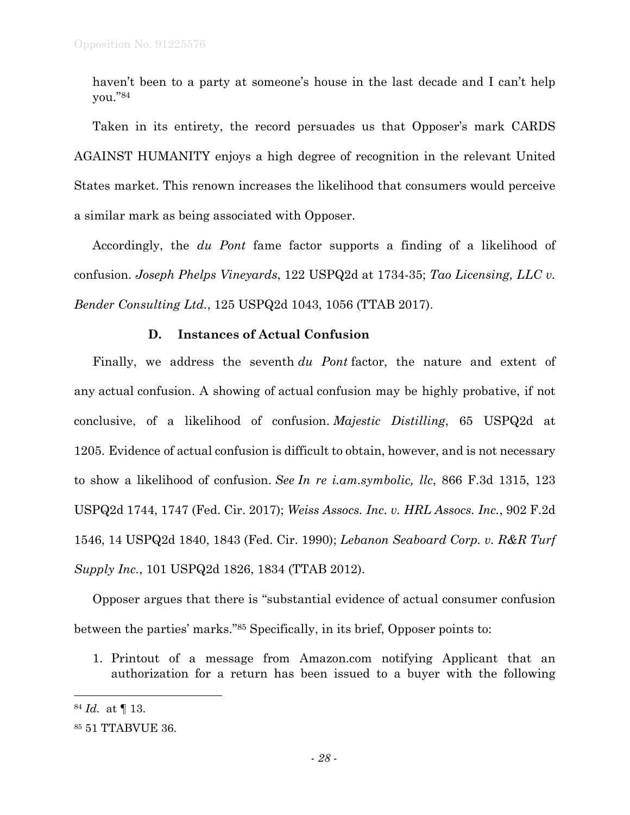haven't been to a party at someone's house in the last decade and I can't help you."84

Taken in its entirety, the record persuades us that Opposer's mark CARDS AGAINST HUMANITY enjoys a high degree of recognition in the relevant United States market. This renown increases the likelihood that consumers would perceive a similar mark as being associated with Opposer.

Accordingly, the *du Pont* fame factor supports a finding of a likelihood of confusion. *Joseph Phelps Vineyards*, 122 USPQ2d at 1734-35; *Tao Licensing, LLC v. Bender Consulting Ltd.*, 125 USPQ2d 1043, 1056 (TTAB 2017).

# **D. Instances of Actual Confusion**

Finally, we address the seventh *du Pont* factor, the nature and extent of any actual confusion. A showing of actual confusion may be highly probative, if not conclusive, of a likelihood of confusion. *Majestic Distilling*, 65 USPQ2d at 1205. Evidence of actual confusion is difficult to obtain, however, and is not necessary to show a likelihood of confusion. *See In re i.am.symbolic, llc*, 866 F.3d 1315, 123 USPQ2d 1744, 1747 (Fed. Cir. 2017); *Weiss Assocs. Inc. v. HRL Assocs. Inc.*, 902 F.2d 1546, 14 USPQ2d 1840, 1843 (Fed. Cir. 1990); *Lebanon Seaboard Corp. v. R&R Turf Supply Inc.*, 101 USPQ2d 1826, 1834 (TTAB 2012).

Opposer argues that there is "substantial evidence of actual consumer confusion between the parties' marks."85 Specifically, in its brief, Opposer points to:

1. Printout of a message from Amazon.com notifying Applicant that an authorization for a return has been issued to a buyer with the following

<sup>84</sup> *Id.* at ¶ 13.

<sup>85 51</sup> TTABVUE 36.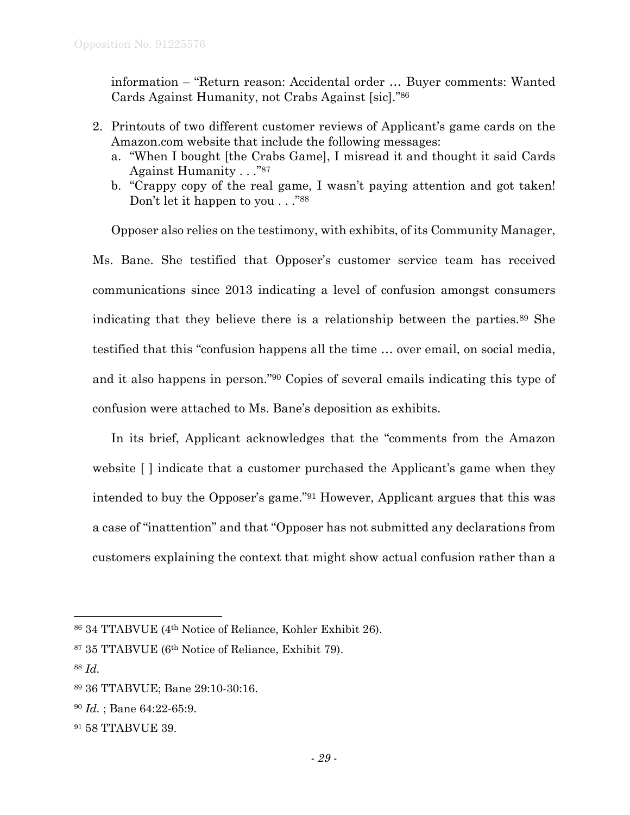information – "Return reason: Accidental order … Buyer comments: Wanted Cards Against Humanity, not Crabs Against [sic]."86

- 2. Printouts of two different customer reviews of Applicant's game cards on the Amazon.com website that include the following messages:
	- a. "When I bought [the Crabs Game], I misread it and thought it said Cards Against Humanity . . ."87
	- b. "Crappy copy of the real game, I wasn't paying attention and got taken! Don't let it happen to you . . . . "88"

Opposer also relies on the testimony, with exhibits, of its Community Manager, Ms. Bane. She testified that Opposer's customer service team has received communications since 2013 indicating a level of confusion amongst consumers indicating that they believe there is a relationship between the parties.89 She testified that this "confusion happens all the time … over email, on social media, and it also happens in person."90 Copies of several emails indicating this type of confusion were attached to Ms. Bane's deposition as exhibits.

In its brief, Applicant acknowledges that the "comments from the Amazon website [ ] indicate that a customer purchased the Applicant's game when they intended to buy the Opposer's game."91 However, Applicant argues that this was a case of "inattention" and that "Opposer has not submitted any declarations from customers explaining the context that might show actual confusion rather than a

 $\overline{a}$ 

<sup>90</sup> *Id.* ; Bane 64:22-65:9.

<sup>86 34</sup> TTABVUE (4th Notice of Reliance, Kohler Exhibit 26).

<sup>87 35</sup> TTABVUE (6th Notice of Reliance, Exhibit 79).

<sup>88</sup> *Id.* 

<sup>89 36</sup> TTABVUE; Bane 29:10-30:16.

<sup>91 58</sup> TTABVUE 39.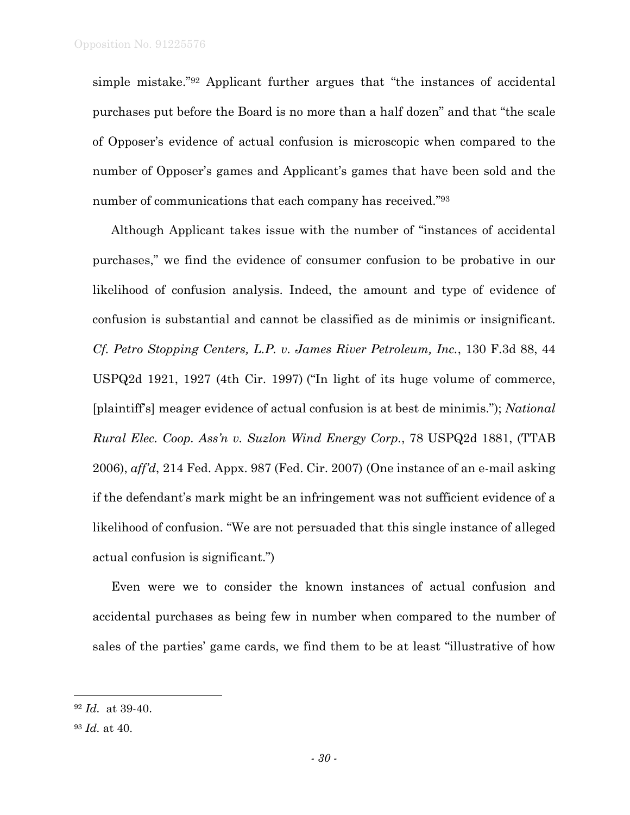simple mistake."92 Applicant further argues that "the instances of accidental purchases put before the Board is no more than a half dozen" and that "the scale of Opposer's evidence of actual confusion is microscopic when compared to the number of Opposer's games and Applicant's games that have been sold and the number of communications that each company has received."93

Although Applicant takes issue with the number of "instances of accidental purchases," we find the evidence of consumer confusion to be probative in our likelihood of confusion analysis. Indeed, the amount and type of evidence of confusion is substantial and cannot be classified as de minimis or insignificant. *Cf. Petro Stopping Centers, L.P. v. James River Petroleum, Inc.*, 130 F.3d 88, 44 USPQ2d 1921, 1927 (4th Cir. 1997) ("In light of its huge volume of commerce, [plaintiff's] meager evidence of actual confusion is at best de minimis."); *National Rural Elec. Coop. Ass'n v. Suzlon Wind Energy Corp.*, 78 USPQ2d 1881, (TTAB 2006), *aff'd*, 214 Fed. Appx. 987 (Fed. Cir. 2007) (One instance of an e-mail asking if the defendant's mark might be an infringement was not sufficient evidence of a likelihood of confusion. "We are not persuaded that this single instance of alleged actual confusion is significant.")

Even were we to consider the known instances of actual confusion and accidental purchases as being few in number when compared to the number of sales of the parties' game cards, we find them to be at least "illustrative of how

<sup>92</sup> *Id.* at 39-40.

<sup>93</sup> *Id.* at 40.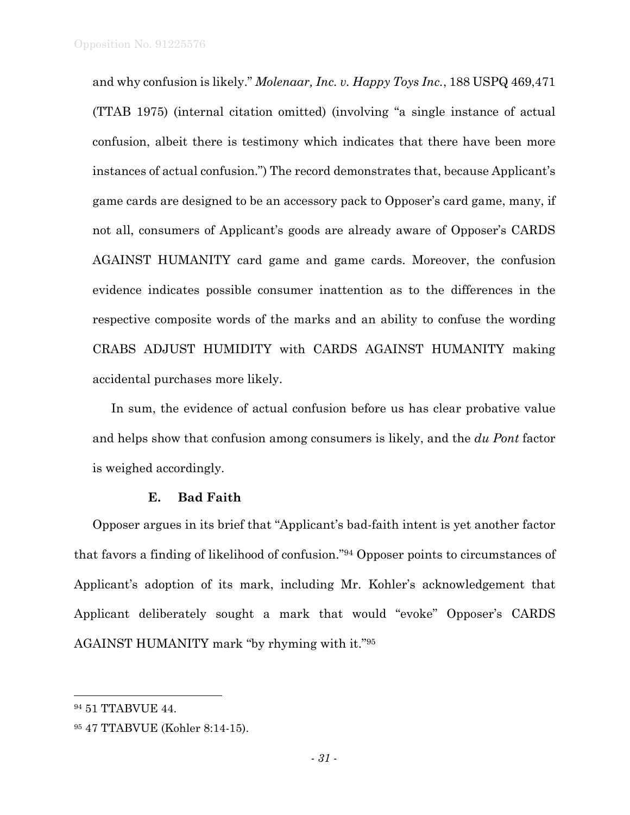and why confusion is likely." *Molenaar, Inc. v. Happy Toys Inc.*, 188 USPQ 469,471 (TTAB 1975) (internal citation omitted) (involving "a single instance of actual confusion, albeit there is testimony which indicates that there have been more instances of actual confusion.") The record demonstrates that, because Applicant's game cards are designed to be an accessory pack to Opposer's card game, many, if not all, consumers of Applicant's goods are already aware of Opposer's CARDS AGAINST HUMANITY card game and game cards. Moreover, the confusion evidence indicates possible consumer inattention as to the differences in the respective composite words of the marks and an ability to confuse the wording CRABS ADJUST HUMIDITY with CARDS AGAINST HUMANITY making accidental purchases more likely.

In sum, the evidence of actual confusion before us has clear probative value and helps show that confusion among consumers is likely, and the *du Pont* factor is weighed accordingly.

#### **E. Bad Faith**

Opposer argues in its brief that "Applicant's bad-faith intent is yet another factor that favors a finding of likelihood of confusion."94 Opposer points to circumstances of Applicant's adoption of its mark, including Mr. Kohler's acknowledgement that Applicant deliberately sought a mark that would "evoke" Opposer's CARDS AGAINST HUMANITY mark "by rhyming with it."95

<sup>94 51</sup> TTABVUE 44.

<sup>95 47</sup> TTABVUE (Kohler 8:14-15).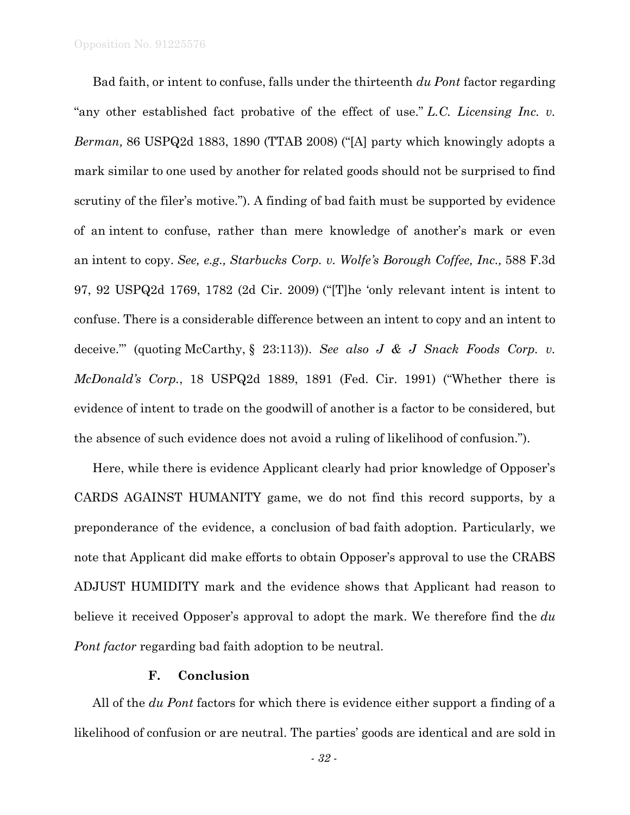Bad faith, or intent to confuse, falls under the thirteenth *du Pont* factor regarding "any other established fact probative of the effect of use." *L.C. Licensing Inc. v. Berman,* 86 USPQ2d 1883, 1890 (TTAB 2008) ("[A] party which knowingly adopts a mark similar to one used by another for related goods should not be surprised to find scrutiny of the filer's motive."). A finding of bad faith must be supported by evidence of an intent to confuse, rather than mere knowledge of another's mark or even an intent to copy. *See, e.g., Starbucks Corp. v. Wolfe's Borough Coffee, Inc.,* 588 F.3d 97, 92 USPQ2d 1769, 1782 (2d Cir. 2009) ("[T]he 'only relevant intent is intent to confuse. There is a considerable difference between an intent to copy and an intent to deceive."' (quoting McCarthy, § 23:113)). *See also J & J Snack Foods Corp. v. McDonald's Corp.*, 18 USPQ2d 1889, 1891 (Fed. Cir. 1991) ("Whether there is evidence of intent to trade on the goodwill of another is a factor to be considered, but the absence of such evidence does not avoid a ruling of likelihood of confusion.").

Here, while there is evidence Applicant clearly had prior knowledge of Opposer's CARDS AGAINST HUMANITY game, we do not find this record supports, by a preponderance of the evidence, a conclusion of bad faith adoption. Particularly, we note that Applicant did make efforts to obtain Opposer's approval to use the CRABS ADJUST HUMIDITY mark and the evidence shows that Applicant had reason to believe it received Opposer's approval to adopt the mark. We therefore find the *du Pont factor* regarding bad faith adoption to be neutral.

### **F. Conclusion**

All of the *du Pont* factors for which there is evidence either support a finding of a likelihood of confusion or are neutral. The parties' goods are identical and are sold in